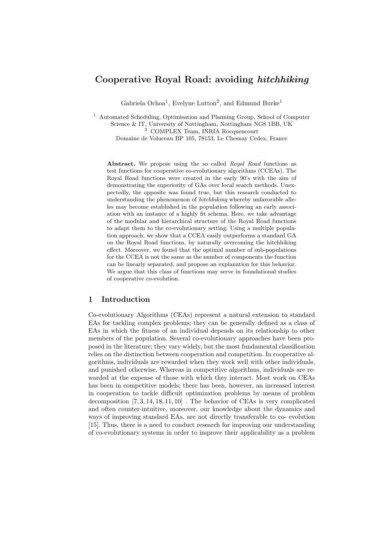# Cooperative Royal Road: avoiding hitchhiking

Gabriela Ochoa<sup>1</sup>, Evelyne Lutton<sup>2</sup>, and Edmund Burke<sup>1</sup>

<sup>1</sup> Automated Scheduling, Optimisation and Planning Group, School of Computer Science & IT, University of Nottingham, Nottingham NG8 1BB, UK <sup>2</sup> COMPLEX Team, INRIA Rocquencourt

Domaine de Voluceau BP 105, 78153, Le Chesnay Cedex, France

Abstract. We propose using the so called Royal Road functions as test functions for cooperative co-evolutionary algorithms (CCEAs). The Royal Road functions were created in the early 90's with the aim of demonstrating the superiority of GAs over local search methods. Unexpectedly, the opposite was found true, but this research conducted to understanding the phenomenon of hitchhiking whereby unfavorable alleles may become established in the population following an early association with an instance of a highly fit schema. Here, we take advantage of the modular and hierarchical structure of the Royal Road functions to adapt them to the co-evolutionary setting. Using a multiple population approach, we show that a CCEA easily outperforms a standard GA on the Royal Road functions, by naturally overcoming the hitchhiking effect. Moreover, we found that the optimal number of sub-populations for the CCEA is not the same as the number of components the function can be linearly separated, and propose an explanation for this behavior. We argue that this class of functions may serve in foundational studies of cooperative co-evolution.

# 1 Introduction

Co-evolutionary Algorithms (CEAs) represent a natural extension to standard EAs for tackling complex problems; they can be generally defined as a class of EAs in which the fitness of an individual depends on its relationship to other members of the population. Several co-evolutionary approaches have been proposed in the literature; they vary widely, but the most fundamental classification relies on the distinction between cooperation and competition. In cooperative algorithms, individuals are rewarded when they work well with other individuals, and punished otherwise. Whereas in competitive algorithms, individuals are rewarded at the expense of those with which they interact. Most work on CEAs has been in competitive models; there has been, however, an increased interest in cooperation to tackle difficult optimization problems by means of problem decomposition [7, 3, 14, 18, 11, 10] . The behavior of CEAs is very complicated and often counter-intuitive, moreover, our knowledge about the dynamics and ways of improving standard EAs, are not directly transferable to co- evolution [15]. Thus, there is a need to conduct research for improving our understanding of co-evolutionary systems in order to improve their applicability as a problem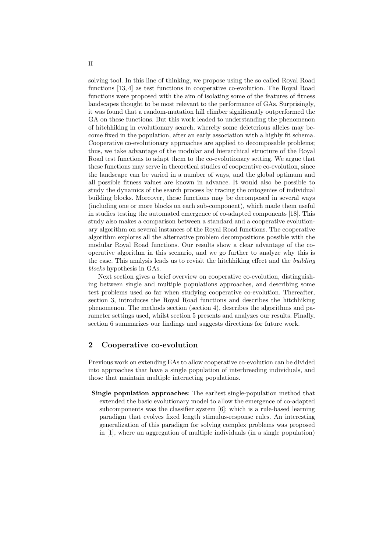solving tool. In this line of thinking, we propose using the so called Royal Road functions [13, 4] as test functions in cooperative co-evolution. The Royal Road functions were proposed with the aim of isolating some of the features of fitness landscapes thought to be most relevant to the performance of GAs. Surprisingly, it was found that a random-mutation hill climber significantly outperformed the GA on these functions. But this work leaded to understanding the phenomenon of hitchhiking in evolutionary search, whereby some deleterious alleles may become fixed in the population, after an early association with a highly fit schema. Cooperative co-evolutionary approaches are applied to decomposable problems; thus, we take advantage of the modular and hierarchical structure of the Royal Road test functions to adapt them to the co-evolutionary setting. We argue that these functions may serve in theoretical studies of cooperative co-evolution, since the landscape can be varied in a number of ways, and the global optimum and all possible fitness values are known in advance. It would also be possible to study the dynamics of the search process by tracing the ontogenies of individual building blocks. Moreover, these functions may be decomposed in several ways (including one or more blocks on each sub-component), which made them useful in studies testing the automated emergence of co-adapted components [18]. This study also makes a comparison between a standard and a cooperative evolutionary algorithm on several instances of the Royal Road functions. The cooperative algorithm explores all the alternative problem decompositions possible with the modular Royal Road functions. Our results show a clear advantage of the cooperative algorithm in this scenario, and we go further to analyze why this is the case. This analysis leads us to revisit the hitchhiking effect and the building blocks hypothesis in GAs.

Next section gives a brief overview on cooperative co-evolution, distinguishing between single and multiple populations approaches, and describing some test problems used so far when studying cooperative co-evolution. Thereafter, section 3, introduces the Royal Road functions and describes the hitchhiking phenomenon. The methods section (section 4), describes the algorithms and parameter settings used, whilst section 5 presents and analyzes our results. Finally, section 6 summarizes our findings and suggests directions for future work.

# 2 Cooperative co-evolution

Previous work on extending EAs to allow cooperative co-evolution can be divided into approaches that have a single population of interbreeding individuals, and those that maintain multiple interacting populations.

Single population approaches: The earliest single-population method that extended the basic evolutionary model to allow the emergence of co-adapted subcomponents was the classifier system [6]; which is a rule-based learning paradigm that evolves fixed length stimulus-response rules. An interesting generalization of this paradigm for solving complex problems was proposed in [1], where an aggregation of multiple individuals (in a single population)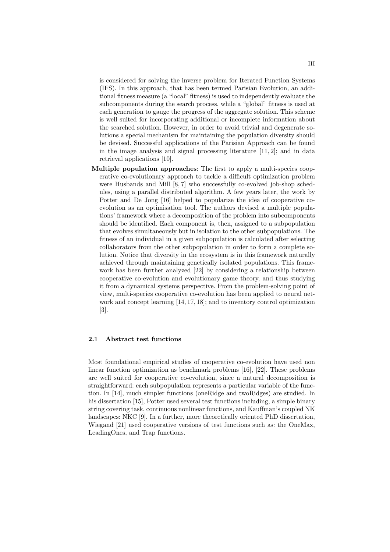is considered for solving the inverse problem for Iterated Function Systems (IFS). In this approach, that has been termed Parisian Evolution, an additional fitness measure (a "local" fitness) is used to independently evaluate the subcomponents during the search process, while a "global" fitness is used at each generation to gauge the progress of the aggregate solution. This scheme is well suited for incorporating additional or incomplete information about the searched solution. However, in order to avoid trivial and degenerate solutions a special mechanism for maintaining the population diversity should be devised. Successful applications of the Parisian Approach can be found in the image analysis and signal processing literature [11, 2]; and in data retrieval applications [10].

Multiple population approaches: The first to apply a multi-species cooperative co-evolutionary approach to tackle a difficult optimization problem were Husbands and Mill [8, 7] who successfully co-evolved job-shop schedules, using a parallel distributed algorithm. A few years later, the work by Potter and De Jong [16] helped to popularize the idea of cooperative coevolution as an optimisation tool. The authors devised a multiple populations' framework where a decomposition of the problem into subcomponents should be identified. Each component is, then, assigned to a subpopulation that evolves simultaneously but in isolation to the other subpopulations. The fitness of an individual in a given subpopulation is calculated after selecting collaborators from the other subpopulation in order to form a complete solution. Notice that diversity in the ecosystem is in this framework naturally achieved through maintaining genetically isolated populations. This framework has been further analyzed [22] by considering a relationship between cooperative co-evolution and evolutionary game theory, and thus studying it from a dynamical systems perspective. From the problem-solving point of view, multi-species cooperative co-evolution has been applied to neural network and concept learning [14, 17, 18]; and to inventory control optimization [3].

### 2.1 Abstract test functions

Most foundational empirical studies of cooperative co-evolution have used non linear function optimization as benchmark problems [16], [22]. These problems are well suited for cooperative co-evolution, since a natural decomposition is straightforward: each subpopulation represents a particular variable of the function. In [14], much simpler functions (oneRidge and twoRidges) are studied. In his dissertation [15], Potter used several test functions including, a simple binary string covering task, continuous nonlinear functions, and Kauffman's coupled NK landscapes: NKC [9]. In a further, more theoretically oriented PhD dissertation, Wiegand [21] used cooperative versions of test functions such as: the OneMax, LeadingOnes, and Trap functions.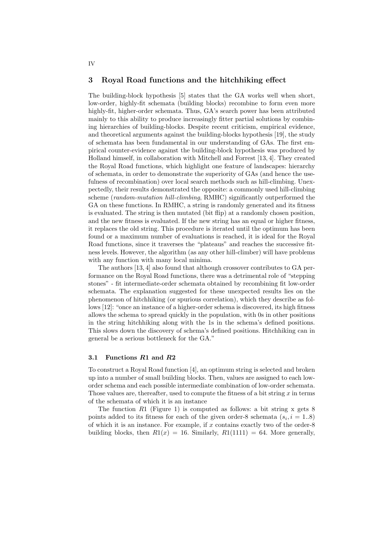## 3 Royal Road functions and the hitchhiking effect

The building-block hypothesis [5] states that the GA works well when short, low-order, highly-fit schemata (building blocks) recombine to form even more highly-fit, higher-order schemata. Thus, GA's search power has been attributed mainly to this ability to produce increasingly fitter partial solutions by combining hierarchies of building-blocks. Despite recent criticism, empirical evidence, and theoretical arguments against the building-blocks hypothesis [19], the study of schemata has been fundamental in our understanding of GAs. The first empirical counter-evidence against the building-block hypothesis was produced by Holland himself, in collaboration with Mitchell and Forrest [13, 4]. They created the Royal Road functions, which highlight one feature of landscapes: hierarchy of schemata, in order to demonstrate the superiority of GAs (and hence the usefulness of recombination) over local search methods such as hill-climbing. Unexpectedly, their results demonstrated the opposite: a commonly used hill-climbing scheme (random-mutation hill-climbing, RMHC) significantly outperformed the GA on these functions. In RMHC, a string is randomly generated and its fitness is evaluated. The string is then mutated (bit flip) at a randomly chosen position, and the new fitness is evaluated. If the new string has an equal or higher fitness, it replaces the old string. This procedure is iterated until the optimum has been found or a maximum number of evaluations is reached, it is ideal for the Royal Road functions, since it traverses the "plateaus" and reaches the successive fitness levels. However, the algorithm (as any other hill-climber) will have problems with any function with many local minima.

The authors [13, 4] also found that although crossover contributes to GA performance on the Royal Road functions, there was a detrimental role of "stepping stones" - fit intermediate-order schemata obtained by recombining fit low-order schemata. The explanation suggested for these unexpected results lies on the phenomenon of hitchhiking (or spurious correlation), which they describe as follows [12]: "once an instance of a higher-order schema is discovered, its high fitness allows the schema to spread quickly in the population, with 0s in other positions in the string hitchhiking along with the 1s in the schema's defined positions. This slows down the discovery of schema's defined positions. Hitchhiking can in general be a serious bottleneck for the GA."

#### 3.1 Functions R1 and R2

To construct a Royal Road function [4], an optimum string is selected and broken up into a number of small building blocks. Then, values are assigned to each loworder schema and each possible intermediate combination of low-order schemata. Those values are, thereafter, used to compute the fitness of a bit string  $x$  in terms of the schemata of which it is an instance

The function  $R1$  (Figure 1) is computed as follows: a bit string x gets 8 points added to its fitness for each of the given order-8 schemata  $(s_i, i = 1..8)$ of which it is an instance. For example, if  $x$  contains exactly two of the order-8 building blocks, then  $R1(x) = 16$ . Similarly,  $R1(1111) = 64$ . More generally,

IV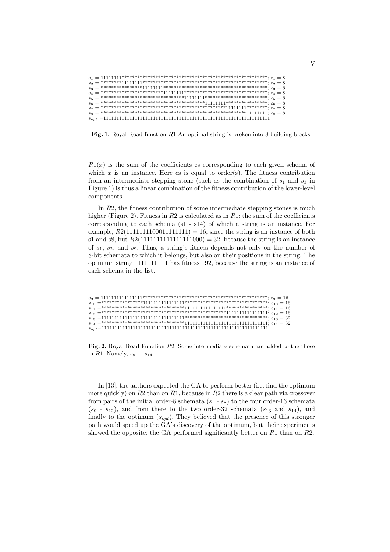|  | $s_1 = 1111111^{**************************************************************$ |  |  |
|--|---------------------------------------------------------------------------------|--|--|
|  |                                                                                 |  |  |
|  |                                                                                 |  |  |
|  |                                                                                 |  |  |
|  |                                                                                 |  |  |
|  |                                                                                 |  |  |
|  |                                                                                 |  |  |
|  |                                                                                 |  |  |
|  |                                                                                 |  |  |
|  |                                                                                 |  |  |

Fig. 1. Royal Road function R1 An optimal string is broken into 8 building-blocks.

 $R1(x)$  is the sum of the coefficients cs corresponding to each given schema of which  $x$  is an instance. Here cs is equal to order(s). The fitness contribution from an intermediate stepping stone (such as the combination of  $s_1$  and  $s_3$  in Figure 1) is thus a linear combination of the fitness contribution of the lower-level components.

In  $R2$ , the fitness contribution of some intermediate stepping stones is much higher (Figure 2). Fitness in  $R2$  is calculated as in  $R1$ : the sum of the coefficients corresponding to each schema (s1 - s14) of which a string is an instance. For example,  $R2(1111111100011111111) = 16$ , since the string is an instance of both s1 and s8, but  $R2(11111111111111000) = 32$ , because the string is an instance of  $s_1$ ,  $s_2$ , and  $s_9$ . Thus, a string's fitness depends not only on the number of 8-bit schemata to which it belongs, but also on their positions in the string. The optimum string 11111111 1 has fitness 192, because the string is an instance of each schema in the list.

| $s_9 = 111111111111111*****************************************************; c_9 = 16$ |  |
|----------------------------------------------------------------------------------------|--|
|                                                                                        |  |
|                                                                                        |  |
|                                                                                        |  |
|                                                                                        |  |
|                                                                                        |  |
|                                                                                        |  |

Fig. 2. Royal Road Function R2. Some intermediate schemata are added to the those in  $R1.$  Namely,  $s_9 \ldots s_{14}$ .

In [13], the authors expected the GA to perform better (i.e. find the optimum more quickly) on R2 than on R1, because in R2 there is a clear path via crossover from pairs of the initial order-8 schemata  $(s_1 - s_8)$  to the four order-16 schemata  $(s_9 - s_{12})$ , and from there to the two order-32 schemata  $(s_{13}$  and  $s_{14})$ , and finally to the optimum  $(s_{opt})$ . They believed that the presence of this stronger path would speed up the GA's discovery of the optimum, but their experiments showed the opposite: the GA performed significantly better on R1 than on R2.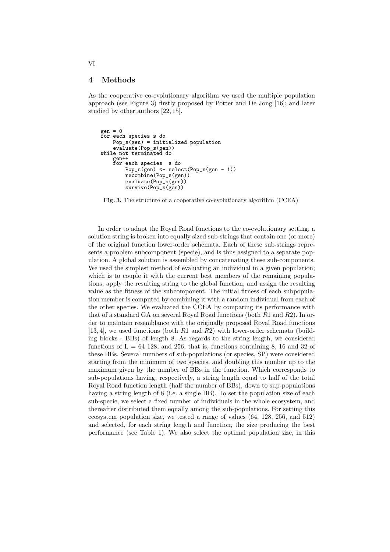# 4 Methods

As the cooperative co-evolutionary algorithm we used the multiple population approach (see Figure 3) firstly proposed by Potter and De Jong [16]; and later studied by other authors [22, 15].

```
gen = 0
for each species s do
    Pop_s(gen) = initialized populationevaluate(Pop_s(gen))
while not terminated do
    gen++
for each species s do
        Pop_s(gen) <- select(Pop_s(gen - 1))
        recombine(Pop_s(gen))
        evaluate(Pop_s(gen))
        survive(Pop_s(gen))
```
Fig. 3. The structure of a cooperative co-evolutionary algorithm (CCEA).

In order to adapt the Royal Road functions to the co-evolutionary setting, a solution string is broken into equally sized sub-strings that contain one (or more) of the original function lower-order schemata. Each of these sub-strings represents a problem subcomponent (specie), and is thus assigned to a separate population. A global solution is assembled by concatenating these sub-components. We used the simplest method of evaluating an individual in a given population; which is to couple it with the current best members of the remaining populations, apply the resulting string to the global function, and assign the resulting value as the fitness of the subcomponent. The initial fitness of each subpopulation member is computed by combining it with a random individual from each of the other species. We evaluated the CCEA by comparing its performance with that of a standard GA on several Royal Road functions (both  $R1$  and  $R2$ ). In order to maintain resemblance with the originally proposed Royal Road functions [13, 4], we used functions (both R1 and R2) with lower-order schemata (building blocks - BBs) of length 8. As regards to the string length, we considered functions of  $L = 64$  128, and 256, that is, functions containing 8, 16 and 32 of these BBs. Several numbers of sub-populations (or species, SP) were considered starting from the minimum of two species, and doubling this number up to the maximum given by the number of BBs in the function. Which corresponds to sub-populations having, respectively, a string length equal to half of the total Royal Road function length (half the number of BBs), down to sup-populations having a string length of 8 (i.e. a single BB). To set the population size of each sub-specie, we select a fixed number of individuals in the whole ecosystem, and thereafter distributed them equally among the sub-populations. For setting this ecosystem population size, we tested a range of values (64, 128, 256, and 512) and selected, for each string length and function, the size producing the best performance (see Table 1). We also select the optimal population size, in this

VI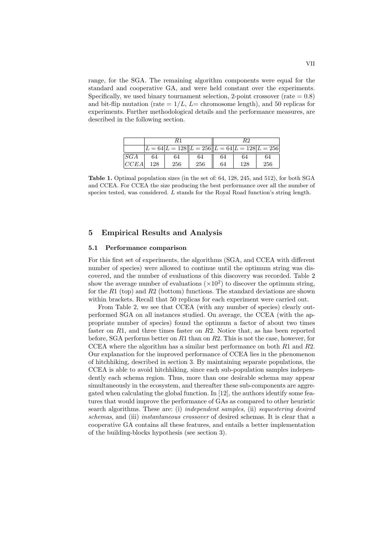range, for the SGA. The remaining algorithm components were equal for the standard and cooperative GA, and were held constant over the experiments. Specifically, we used binary tournament selection, 2-point crossover (rate  $= 0.8$ ) and bit-flip mutation (rate  $= 1/L$ ,  $L=$  chromosome length), and 50 replicas for experiments. Further methodological details and the performance measures, are described in the following section.

|      |     | $L = 64 L = 128  L = 256  L = 64 L = 128 L = 256 $ |     |    |     |     |
|------|-----|----------------------------------------------------|-----|----|-----|-----|
| SGA  | 64  | 64                                                 | 64  | 64 | 64  | 64  |
| CCEA | 128 | 256                                                | 256 | 64 | 128 | 256 |

Table 1. Optimal population sizes (in the set of: 64, 128, 245, and 512), for both SGA and CCEA. For CCEA the size producing the best performance over all the number of species tested, was considered. L stands for the Royal Road function's string length.

# 5 Empirical Results and Analysis

### 5.1 Performance comparison

For this first set of experiments, the algorithms (SGA, and CCEA with different number of species) were allowed to continue until the optimum string was discovered, and the number of evaluations of this discovery was recorded. Table 2 show the average number of evaluations  $(\times 10^2)$  to discover the optimum string, for the  $R1$  (top) and  $R2$  (bottom) functions. The standard deviations are shown within brackets. Recall that 50 replicas for each experiment were carried out.

From Table 2, we see that CCEA (with any number of species) clearly outperformed SGA on all instances studied. On average, the CCEA (with the appropriate number of species) found the optimum a factor of about two times faster on R1, and three times faster on R2. Notice that, as has been reported before, SGA performs better on  $R1$  than on  $R2$ . This is not the case, however, for CCEA where the algorithm has a similar best performance on both  $R1$  and  $R2$ . Our explanation for the improved performance of CCEA lies in the phenomenon of hitchhiking, described in section 3. By maintaining separate populations, the CCEA is able to avoid hitchhiking, since each sub-population samples independently each schema region. Thus, more than one desirable schema may appear simultaneously in the ecosystem, and thereafter these sub-components are aggregated when calculating the global function. In [12], the authors identify some features that would improve the performance of GAs as compared to other heuristic search algorithms. These are: (i) independent samples, (ii) sequestering desired schemas, and (iii) instantaneous crossover of desired schemas. It is clear that a cooperative GA contains all these features, and entails a better implementation of the building-blocks hypothesis (see section 3).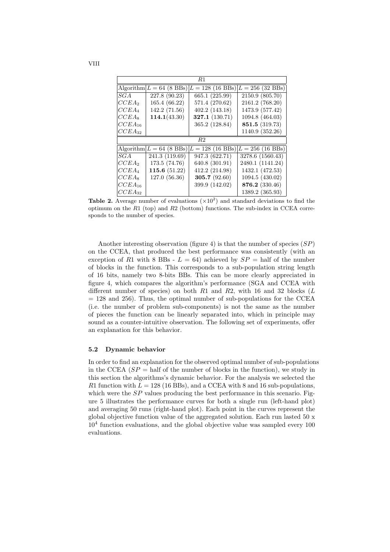| R1                |                                |                      |                    |  |  |  |
|-------------------|--------------------------------|----------------------|--------------------|--|--|--|
|                   | Algorithm $L = 64$ (8 BBs)     | $= 128 (16 B)$<br>L. | $L = 256$ (32 BBs) |  |  |  |
| SGA               | 227.8 (90.23)                  | 665.1(225.99)        | 2150.9 (805.70)    |  |  |  |
| $CCEA_2$          | 165.4 (66.22)                  | 571.4 (270.62)       | 2161.2 (768.20)    |  |  |  |
| $CCEA_4$          | 142.2 (71.56)                  | 402.2 (143.18)       | 1473.9 (577.42)    |  |  |  |
| $CCEA_8$          | 114.1(43.30)                   | 327.1 (130.71)       | 1094.8 (464.03)    |  |  |  |
| $CCEA_{16}$       |                                | 365.2 (128.84)       | 851.5 (319.73)     |  |  |  |
| $CCEA_{32}$       |                                |                      | 1140.9 (352.26)    |  |  |  |
| R <sub>2</sub>    |                                |                      |                    |  |  |  |
|                   | Algorithm $L = 64$ (8 BBs) $L$ | $= 128 (16 Bs)$      | $L = 256$ (16 BBs) |  |  |  |
| SGA               | 241.3 (119.69)                 | 947.3 (622.71)       | 3278.6 (1560.43)   |  |  |  |
| CCEA <sub>2</sub> | 173.5 (74.76)                  | 640.8 (301.91)       | 2480.1 (1141.24)   |  |  |  |
| $CCEA_4$          | 115.6 $(51.22)$                | 412.2 (214.98)       | 1432.1 (472.53)    |  |  |  |
| $CCEA_8$          | 127.0 (56.36)                  | 305.7 (92.60)        | 1094.5 (430.02)    |  |  |  |
| $CCEA_{16}$       |                                | 399.9 (142.02)       | 876.2 (330.46)     |  |  |  |
| $CCEA_{32}$       |                                |                      | 1389.2 (365.93)    |  |  |  |

**Table 2.** Average number of evaluations  $(\times 10^2)$  and standard deviations to find the optimum on the  $R1$  (top) and  $R2$  (bottom) functions. The sub-index in CCEA corresponds to the number of species.

Another interesting observation (figure 4) is that the number of species  $(SP)$ on the CCEA, that produced the best performance was consistently (with an exception of R1 with 8 BBs -  $L = 64$ ) achieved by  $SP =$  half of the number of blocks in the function. This corresponds to a sub-population string length of 16 bits, namely two 8-bits BBs. This can be more clearly appreciated in figure 4, which compares the algorithm's performance (SGA and CCEA with different number of species) on both  $R1$  and  $R2$ , with 16 and 32 blocks (L  $= 128$  and 256). Thus, the optimal number of sub-populations for the CCEA (i.e. the number of problem sub-components) is not the same as the number of pieces the function can be linearly separated into, which in principle may sound as a counter-intuitive observation. The following set of experiments, offer an explanation for this behavior.

#### 5.2 Dynamic behavior

In order to find an explanation for the observed optimal number of sub-populations in the CCEA  $(SP = \text{half of the number of blocks in the function})$ , we study in this section the algorithms's dynamic behavior. For the analysis we selected the R1 function with  $L = 128$  (16 BBs), and a CCEA with 8 and 16 sub-populations, which were the  $SP$  values producing the best performance in this scenario. Figure 5 illustrates the performance curves for both a single run (left-hand plot) and averaging 50 runs (right-hand plot). Each point in the curves represent the global objective function value of the aggregated solution. Each run lasted 50 x  $10<sup>4</sup>$  function evaluations, and the global objective value was sampled every 100 evaluations.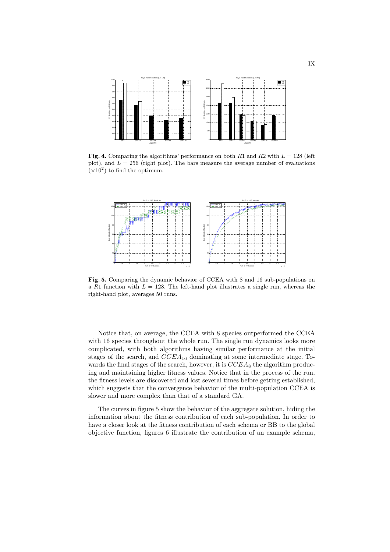

Fig. 4. Comparing the algorithms' performance on both R1 and R2 with  $L = 128$  (left plot), and  $L = 256$  (right plot). The bars measure the average number of evaluations  $(\times 10^2)$  to find the optimum.



Fig. 5. Comparing the dynamic behavior of CCEA with 8 and 16 sub-populations on a R1 function with  $L = 128$ . The left-hand plot illustrates a single run, whereas the right-hand plot, averages 50 runs.

Notice that, on average, the CCEA with 8 species outperformed the CCEA with 16 species throughout the whole run. The single run dynamics looks more complicated, with both algorithms having similar performance at the initial stages of the search, and  $CCEA_{16}$  dominating at some intermediate stage. Towards the final stages of the search, however, it is  $CCEA_8$  the algorithm producing and maintaining higher fitness values. Notice that in the process of the run, the fitness levels are discovered and lost several times before getting established, which suggests that the convergence behavior of the multi-population CCEA is slower and more complex than that of a standard GA.

The curves in figure 5 show the behavior of the aggregate solution, hiding the information about the fitness contribution of each sub-population. In order to have a closer look at the fitness contribution of each schema or BB to the global objective function, figures 6 illustrate the contribution of an example schema,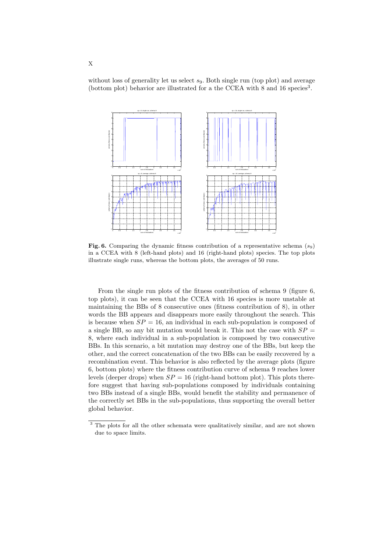without loss of generality let us select  $s<sub>9</sub>$ . Both single run (top plot) and average (bottom plot) behavior are illustrated for a the CCEA with  $8$  and  $16$  species<sup>3</sup>.



Fig. 6. Comparing the dynamic fitness contribution of a representative schema  $(s_9)$ in a CCEA with 8 (left-hand plots) and 16 (right-hand plots) species. The top plots illustrate single runs, whereas the bottom plots, the averages of 50 runs.

From the single run plots of the fitness contribution of schema 9 (figure 6, top plots), it can be seen that the CCEA with 16 species is more unstable at maintaining the BBs of 8 consecutive ones (fitness contribution of 8), in other words the BB appears and disappears more easily throughout the search. This is because when  $SP = 16$ , an individual in each sub-population is composed of a single BB, so any bit mutation would break it. This not the case with  $SP =$ 8, where each individual in a sub-population is composed by two consecutive BBs. In this scenario, a bit mutation may destroy one of the BBs, but keep the other, and the correct concatenation of the two BBs can be easily recovered by a recombination event. This behavior is also reflected by the average plots (figure 6, bottom plots) where the fitness contribution curve of schema 9 reaches lower levels (deeper drops) when  $SP = 16$  (right-hand bottom plot). This plots therefore suggest that having sub-populations composed by individuals containing two BBs instead of a single BBs, would benefit the stability and permanence of the correctly set BBs in the sub-populations, thus supporting the overall better global behavior.

<sup>&</sup>lt;sup>3</sup> The plots for all the other schemata were qualitatively similar, and are not shown due to space limits.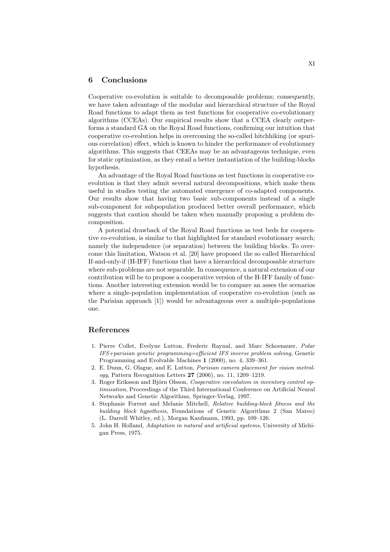### 6 Conclusions

Cooperative co-evolution is suitable to decomposable problems; consequently, we have taken advantage of the modular and hierarchical structure of the Royal Road functions to adapt them as test functions for cooperative co-evolutionary algorithms (CCEAs). Our empirical results show that a CCEA clearly outperforms a standard GA on the Royal Road functions, confirming our intuition that cooperative co-evolution helps in overcoming the so-called hitchhiking (or spurious correlation) effect, which is known to hinder the performance of evolutionary algorithms. This suggests that CEEAs may be an advantageous technique, even for static optimization, as they entail a better instantiation of the building-blocks hypothesis.

An advantage of the Royal Road functions as test functions in cooperative coevolution is that they admit several natural decompositions, which make them useful in studies testing the automated emergence of co-adapted components. Our results show that having two basic sub-components instead of a single sub-component for subpopulation produced better overall performance, which suggests that caution should be taken when manually proposing a problem decomposition.

A potential drawback of the Royal Road functions as test beds for cooperative co-evolution, is similar to that highlighted for standard evolutionary search; namely the independence (or separation) between the building blocks. To overcome this limitation, Watson et al. [20] have proposed the so called Hierarchical If-and-only-if (H-IFF) functions that have a hierarchical decomposable structure where sub-problems are not separable. In consequence, a natural extension of our contribution will be to propose a cooperative version of the H-IFF family of functions. Another interesting extension would be to compare an asses the scenarios where a single-population implementation of cooperative co-evolution (such as the Parisian approach [1]) would be advantageous over a multiple-populations one.

#### References

- 1. Pierre Collet, Evelyne Lutton, Frederic Raynal, and Marc Schoenauer, Polar IFS+parisian genetic programming=efficient IFS inverse problem solving, Genetic Programming and Evolvable Machines 1 (2000), no. 4, 339–361.
- 2. E. Dunn, G. Olague, and E. Lutton, Parisian camera placement for vision metrology, Pattern Recognition Letters 27 (2006), no. 11, 1209–1219.
- 3. Roger Eriksson and Björn Olsson, Cooperative coevolution in inventory control optimisation, Proceedings of the Third International Conference on Artificial Neural Networks and Genetic Algorithms, Springer-Verlag, 1997.
- 4. Stephanie Forrest and Melanie Mitchell, Relative building-block fitness and the building block hypothesis, Foundations of Genetic Algorithms 2 (San Mateo) (L. Darrell Whitley, ed.), Morgan Kaufmann, 1993, pp. 109–126.
- 5. John H. Holland, Adaptation in natural and artificial systems, University of Michigan Press, 1975.